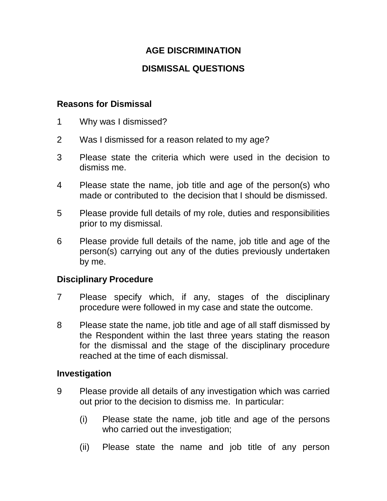## **AGE DISCRIMINATION**

# **DISMISSAL QUESTIONS**

### **Reasons for Dismissal**

- 1 Why was I dismissed?
- 2 Was I dismissed for a reason related to my age?
- 3 Please state the criteria which were used in the decision to dismiss me.
- 4 Please state the name, job title and age of the person(s) who made or contributed to the decision that I should be dismissed.
- 5 Please provide full details of my role, duties and responsibilities prior to my dismissal.
- 6 Please provide full details of the name, job title and age of the person(s) carrying out any of the duties previously undertaken by me.

### **Disciplinary Procedure**

- 7 Please specify which, if any, stages of the disciplinary procedure were followed in my case and state the outcome.
- 8 Please state the name, job title and age of all staff dismissed by the Respondent within the last three years stating the reason for the dismissal and the stage of the disciplinary procedure reached at the time of each dismissal.

#### **Investigation**

- 9 Please provide all details of any investigation which was carried out prior to the decision to dismiss me. In particular:
	- (i) Please state the name, job title and age of the persons who carried out the investigation;
	- (ii) Please state the name and job title of any person